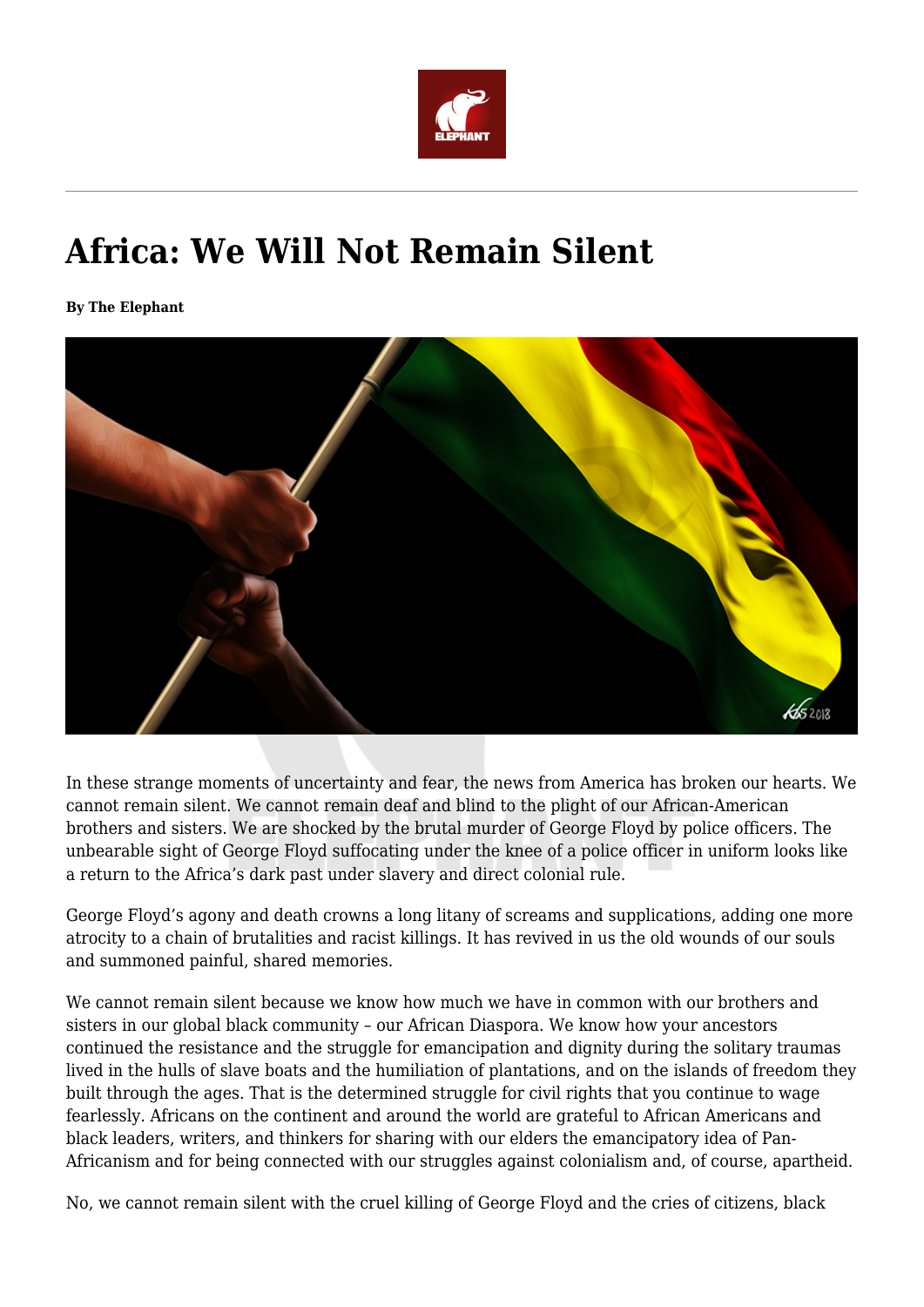

# **Africa: We Will Not Remain Silent**

**By The Elephant**



In these strange moments of uncertainty and fear, the news from America has broken our hearts. We cannot remain silent. We cannot remain deaf and blind to the plight of our African-American brothers and sisters. We are shocked by the brutal murder of George Floyd by police officers. The unbearable sight of George Floyd suffocating under the knee of a police officer in uniform looks like a return to the Africa's dark past under slavery and direct colonial rule.

George Floyd's agony and death crowns a long litany of screams and supplications, adding one more atrocity to a chain of brutalities and racist killings. It has revived in us the old wounds of our souls and summoned painful, shared memories.

We cannot remain silent because we know how much we have in common with our brothers and sisters in our global black community – our African Diaspora. We know how your ancestors continued the resistance and the struggle for emancipation and dignity during the solitary traumas lived in the hulls of slave boats and the humiliation of plantations, and on the islands of freedom they built through the ages. That is the determined struggle for civil rights that you continue to wage fearlessly. Africans on the continent and around the world are grateful to African Americans and black leaders, writers, and thinkers for sharing with our elders the emancipatory idea of Pan-Africanism and for being connected with our struggles against colonialism and, of course, apartheid.

No, we cannot remain silent with the cruel killing of George Floyd and the cries of citizens, black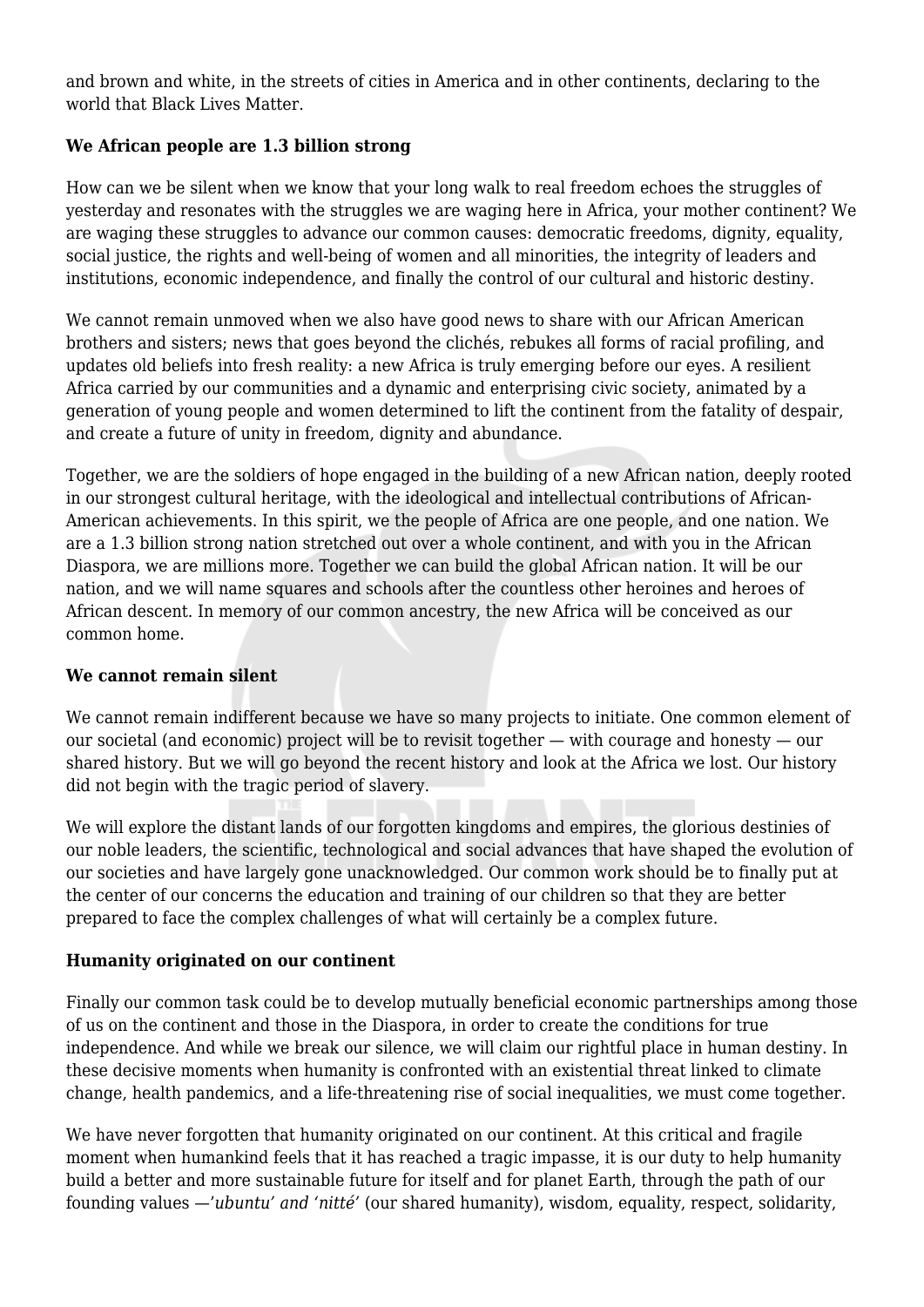and brown and white, in the streets of cities in America and in other continents, declaring to the world that Black Lives Matter.

## **We African people are 1.3 billion strong**

How can we be silent when we know that your long walk to real freedom echoes the struggles of yesterday and resonates with the struggles we are waging here in Africa, your mother continent? We are waging these struggles to advance our common causes: democratic freedoms, dignity, equality, social justice, the rights and well-being of women and all minorities, the integrity of leaders and institutions, economic independence, and finally the control of our cultural and historic destiny.

We cannot remain unmoved when we also have good news to share with our African American brothers and sisters; news that goes beyond the clichés, rebukes all forms of racial profiling, and updates old beliefs into fresh reality: a new Africa is truly emerging before our eyes. A resilient Africa carried by our communities and a dynamic and enterprising civic society, animated by a generation of young people and women determined to lift the continent from the fatality of despair, and create a future of unity in freedom, dignity and abundance.

Together, we are the soldiers of hope engaged in the building of a new African nation, deeply rooted in our strongest cultural heritage, with the ideological and intellectual contributions of African-American achievements. In this spirit, we the people of Africa are one people, and one nation. We are a 1.3 billion strong nation stretched out over a whole continent, and with you in the African Diaspora, we are millions more. Together we can build the global African nation. It will be our nation, and we will name squares and schools after the countless other heroines and heroes of African descent. In memory of our common ancestry, the new Africa will be conceived as our common home.

### **We cannot remain silent**

We cannot remain indifferent because we have so many projects to initiate. One common element of our societal (and economic) project will be to revisit together — with courage and honesty — our shared history. But we will go beyond the recent history and look at the Africa we lost. Our history did not begin with the tragic period of slavery.

We will explore the distant lands of our forgotten kingdoms and empires, the glorious destinies of our noble leaders, the scientific, technological and social advances that have shaped the evolution of our societies and have largely gone unacknowledged. Our common work should be to finally put at the center of our concerns the education and training of our children so that they are better prepared to face the complex challenges of what will certainly be a complex future.

### **Humanity originated on our continent**

Finally our common task could be to develop mutually beneficial economic partnerships among those of us on the continent and those in the Diaspora, in order to create the conditions for true independence. And while we break our silence, we will claim our rightful place in human destiny. In these decisive moments when humanity is confronted with an existential threat linked to climate change, health pandemics, and a life-threatening rise of social inequalities, we must come together.

We have never forgotten that humanity originated on our continent. At this critical and fragile moment when humankind feels that it has reached a tragic impasse, it is our duty to help humanity build a better and more sustainable future for itself and for planet Earth, through the path of our founding values —'*ubuntu' and 'nitté'* (our shared humanity), wisdom, equality, respect, solidarity,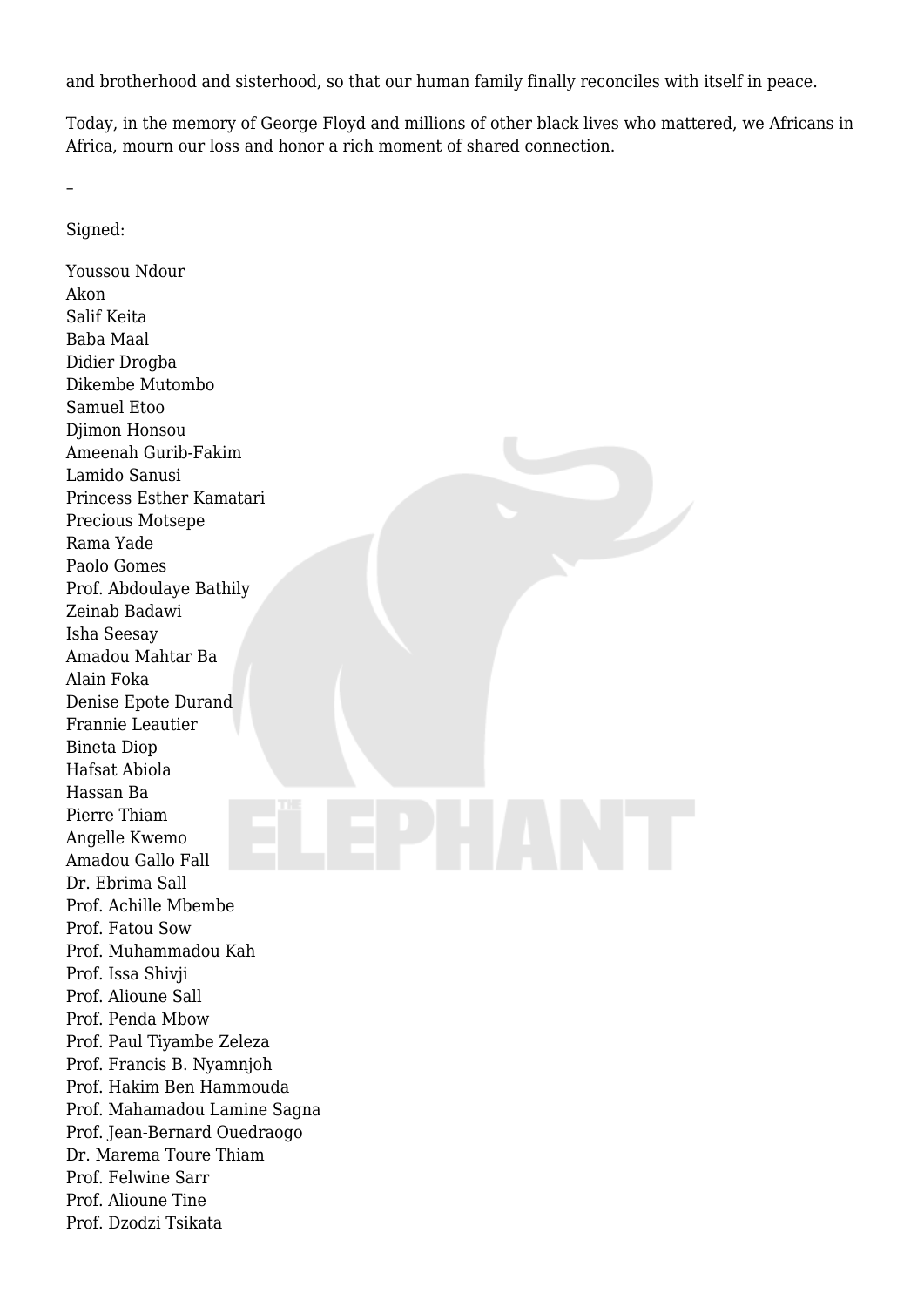and brotherhood and sisterhood, so that our human family finally reconciles with itself in peace.

Today, in the memory of George Floyd and millions of other black lives who mattered, we Africans in Africa, mourn our loss and honor a rich moment of shared connection.

 $\overline{\phantom{a}}$ 

Signed:

Youssou Ndour Akon Salif Keita Baba Maal Didier Drogba Dikembe Mutombo Samuel Etoo Djimon Honsou Ameenah Gurib-Fakim Lamido Sanusi Princess Esther Kamatari Precious Motsepe Rama Yade Paolo Gomes Prof. Abdoulaye Bathily Zeinab Badawi Isha Seesay Amadou Mahtar Ba Alain Foka Denise Epote Durand Frannie Leautier Bineta Diop Hafsat Abiola Hassan Ba Pierre Thiam Angelle Kwemo Amadou Gallo Fall Dr. Ebrima Sall Prof. Achille Mbembe Prof. Fatou Sow Prof. Muhammadou Kah Prof. Issa Shivji Prof. Alioune Sall Prof. Penda Mbow Prof. Paul Tiyambe Zeleza Prof. Francis B. Nyamnjoh Prof. Hakim Ben Hammouda Prof. Mahamadou Lamine Sagna Prof. Jean-Bernard Ouedraogo Dr. Marema Toure Thiam Prof. Felwine Sarr Prof. Alioune Tine Prof. Dzodzi Tsikata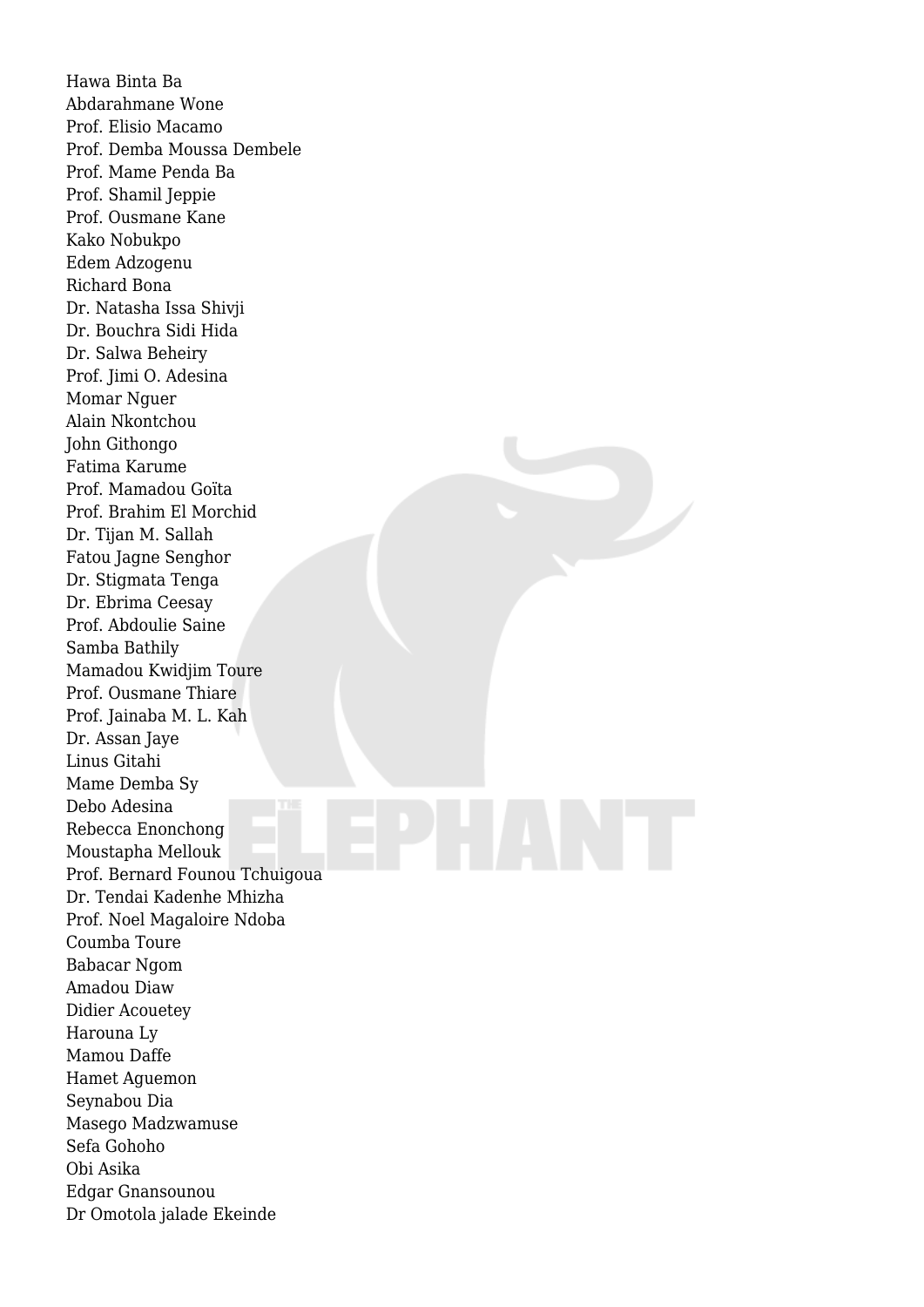Hawa Binta Ba Abdarahmane Wone Prof. Elisio Macamo Prof. Demba Moussa Dembele Prof. Mame Penda Ba Prof. Shamil Jeppie Prof. Ousmane Kane Kako Nobukpo Edem Adzogenu Richard Bona Dr. Natasha Issa Shivji Dr. Bouchra Sidi Hida Dr. Salwa Beheiry Prof. Jimi O. Adesina Momar Nguer Alain Nkontchou John Githongo Fatima Karume Prof. Mamadou Goïta Prof. Brahim El Morchid Dr. Tijan M. Sallah Fatou Jagne Senghor Dr. Stigmata Tenga Dr. Ebrima Ceesay Prof. Abdoulie Saine Samba Bathily Mamadou Kwidjim Toure Prof. Ousmane Thiare Prof. Jainaba M. L. Kah Dr. Assan Jaye Linus Gitahi Mame Demba Sy Debo Adesina Rebecca Enonchong Moustapha Mellouk Prof. Bernard Founou Tchuigoua Dr. Tendai Kadenhe Mhizha Prof. Noel Magaloire Ndoba Coumba Toure Babacar Ngom Amadou Diaw Didier Acouetey Harouna Ly Mamou Daffe Hamet Aguemon Seynabou Dia Masego Madzwamuse Sefa Gohoho Obi Asika Edgar Gnansounou Dr Omotola jalade Ekeinde